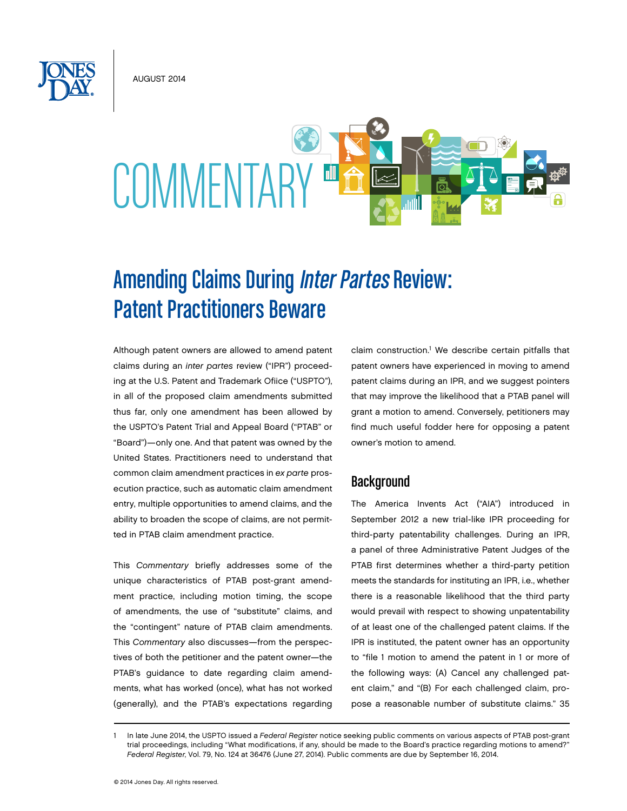August 2014



# Amending Claims During Inter Partes Review: Patent Practitioners Beware

Although patent owners are allowed to amend patent claims during an *inter partes* review ("IPR") proceeding at the U.S. Patent and Trademark Ofiice ("USPTO"), in all of the proposed claim amendments submitted thus far, only one amendment has been allowed by the USPTO's Patent Trial and Appeal Board ("PTAB" or "Board")—only one. And that patent was owned by the United States. Practitioners need to understand that common claim amendment practices in *ex parte* prosecution practice, such as automatic claim amendment entry, multiple opportunities to amend claims, and the ability to broaden the scope of claims, are not permitted in PTAB claim amendment practice.

This *Commentary* briefly addresses some of the unique characteristics of PTAB post-grant amendment practice, including motion timing, the scope of amendments, the use of "substitute" claims, and the "contingent" nature of PTAB claim amendments. This *Commentary* also discusses—from the perspectives of both the petitioner and the patent owner—the PTAB's guidance to date regarding claim amendments, what has worked (once), what has not worked (generally), and the PTAB's expectations regarding

claim construction.<sup>1</sup> We describe certain pitfalls that patent owners have experienced in moving to amend patent claims during an IPR, and we suggest pointers that may improve the likelihood that a PTAB panel will grant a motion to amend. Conversely, petitioners may find much useful fodder here for opposing a patent owner's motion to amend.

# **Background**

The America Invents Act ("AIA") introduced in September 2012 a new trial-like IPR proceeding for third-party patentability challenges. During an IPR, a panel of three Administrative Patent Judges of the PTAB first determines whether a third-party petition meets the standards for instituting an IPR, i.e., whether there is a reasonable likelihood that the third party would prevail with respect to showing unpatentability of at least one of the challenged patent claims. If the IPR is instituted, the patent owner has an opportunity to "file 1 motion to amend the patent in 1 or more of the following ways: (A) Cancel any challenged patent claim," and "(B) For each challenged claim, propose a reasonable number of substitute claims." 35

<sup>1</sup> In late June 2014, the USPTO issued a *Federal Register* notice seeking public comments on various aspects of PTAB post-grant trial proceedings, including "What modifications, if any, should be made to the Board's practice regarding motions to amend?" *Federal Register*, Vol. 79, No. 124 at 36476 (June 27, 2014). Public comments are due by September 16, 2014.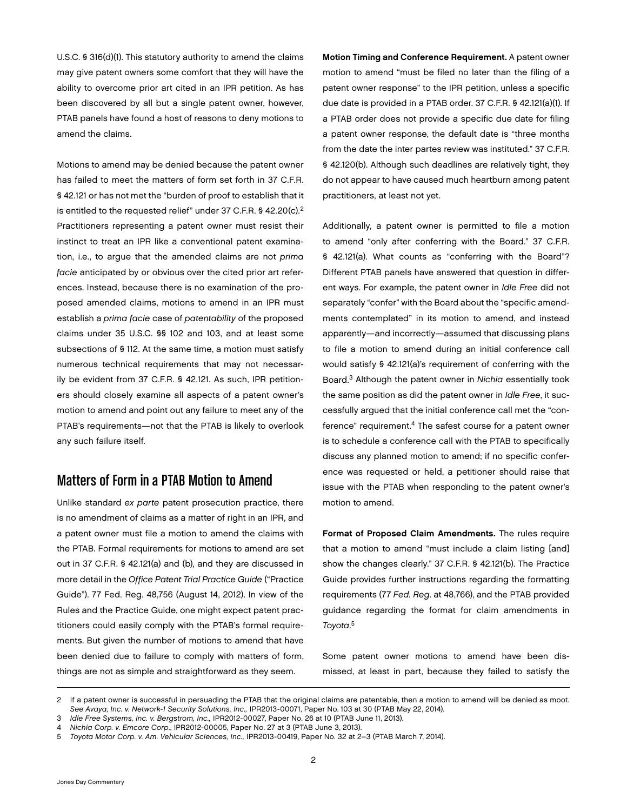U.S.C. § 316(d)(1). This statutory authority to amend the claims may give patent owners some comfort that they will have the ability to overcome prior art cited in an IPR petition. As has been discovered by all but a single patent owner, however, PTAB panels have found a host of reasons to deny motions to amend the claims.

Motions to amend may be denied because the patent owner has failed to meet the matters of form set forth in 37 C.F.R. § 42.121 or has not met the "burden of proof to establish that it is entitled to the requested relief" under 37 C.F.R. § 42.20(c).<sup>2</sup> Practitioners representing a patent owner must resist their instinct to treat an IPR like a conventional patent examination, i.e., to argue that the amended claims are not *prima facie* anticipated by or obvious over the cited prior art references. Instead, because there is no examination of the proposed amended claims, motions to amend in an IPR must establish a *prima facie* case of *patentability* of the proposed claims under 35 U.S.C. §§ 102 and 103, and at least some subsections of § 112. At the same time, a motion must satisfy numerous technical requirements that may not necessarily be evident from 37 C.F.R. § 42.121. As such, IPR petitioners should closely examine all aspects of a patent owner's motion to amend and point out any failure to meet any of the PTAB's requirements—not that the PTAB is likely to overlook any such failure itself.

# Matters of Form in a PTAB Motion to Amend

Unlike standard *ex parte* patent prosecution practice, there is no amendment of claims as a matter of right in an IPR, and a patent owner must file a motion to amend the claims with the PTAB. Formal requirements for motions to amend are set out in 37 C.F.R. § 42.121(a) and (b), and they are discussed in more detail in the *Office Patent Trial Practice Guide* ("Practice Guide"). 77 Fed. Reg. 48,756 (August 14, 2012). In view of the Rules and the Practice Guide, one might expect patent practitioners could easily comply with the PTAB's formal requirements. But given the number of motions to amend that have been denied due to failure to comply with matters of form, things are not as simple and straightforward as they seem.

Motion Timing and Conference Requirement. A patent owner motion to amend "must be filed no later than the filing of a patent owner response" to the IPR petition, unless a specific due date is provided in a PTAB order. 37 C.F.R. § 42.121(a)(1). If a PTAB order does not provide a specific due date for filing a patent owner response, the default date is "three months from the date the inter partes review was instituted." 37 C.F.R. § 42.120(b). Although such deadlines are relatively tight, they do not appear to have caused much heartburn among patent practitioners, at least not yet.

Additionally, a patent owner is permitted to file a motion to amend "only after conferring with the Board." 37 C.F.R. § 42.121(a). What counts as "conferring with the Board"? Different PTAB panels have answered that question in different ways. For example, the patent owner in *Idle Free* did not separately "confer" with the Board about the "specific amendments contemplated" in its motion to amend, and instead apparently—and incorrectly—assumed that discussing plans to file a motion to amend during an initial conference call would satisfy § 42.121(a)'s requirement of conferring with the Board.3 Although the patent owner in *Nichia* essentially took the same position as did the patent owner in *Idle Free*, it successfully argued that the initial conference call met the "conference" requirement.4 The safest course for a patent owner is to schedule a conference call with the PTAB to specifically discuss any planned motion to amend; if no specific conference was requested or held, a petitioner should raise that issue with the PTAB when responding to the patent owner's motion to amend.

Format of Proposed Claim Amendments. The rules require that a motion to amend "must include a claim listing [and] show the changes clearly." 37 C.F.R. § 42.121(b). The Practice Guide provides further instructions regarding the formatting requirements (77 *Fed. Reg*. at 48,766), and the PTAB provided guidance regarding the format for claim amendments in *Toyota*. 5

Some patent owner motions to amend have been dismissed, at least in part, because they failed to satisfy the

<sup>2</sup> If a patent owner is successful in persuading the PTAB that the original claims are patentable, then a motion to amend will be denied as moot. *See Avaya, Inc. v. Network-1 Security Solutions, Inc.,* IPR2013-00071, Paper No. 103 at 30 (PTAB May 22, 2014).

<sup>3</sup> *Idle Free Systems, Inc. v. Bergstrom, Inc.,* IPR2012-00027, Paper No. 26 at 10 (PTAB June 11, 2013).

<sup>4</sup> *Nichia Corp. v. Emcore Corp*., IPR2012-00005, Paper No. 27 at 3 (PTAB June 3, 2013).

<sup>5</sup> *Toyota Motor Corp. v. Am. Vehicular Sciences, Inc.,* IPR2013-00419, Paper No. 32 at 2–3 (PTAB March 7, 2014).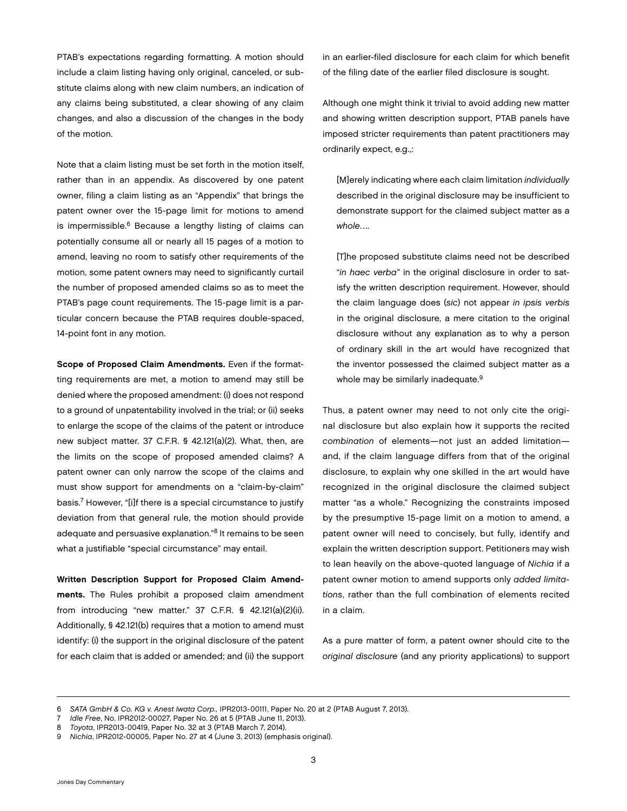PTAB's expectations regarding formatting. A motion should include a claim listing having only original, canceled, or substitute claims along with new claim numbers, an indication of any claims being substituted, a clear showing of any claim changes, and also a discussion of the changes in the body of the motion.

Note that a claim listing must be set forth in the motion itself, rather than in an appendix. As discovered by one patent owner, filing a claim listing as an "Appendix" that brings the patent owner over the 15-page limit for motions to amend is impermissible.<sup>6</sup> Because a lengthy listing of claims can potentially consume all or nearly all 15 pages of a motion to amend, leaving no room to satisfy other requirements of the motion, some patent owners may need to significantly curtail the number of proposed amended claims so as to meet the PTAB's page count requirements. The 15-page limit is a particular concern because the PTAB requires double-spaced, 14-point font in any motion.

Scope of Proposed Claim Amendments. Even if the formatting requirements are met, a motion to amend may still be denied where the proposed amendment: (i) does not respond to a ground of unpatentability involved in the trial; or (ii) seeks to enlarge the scope of the claims of the patent or introduce new subject matter. 37 C.F.R. § 42.121(a)(2). What, then, are the limits on the scope of proposed amended claims? A patent owner can only narrow the scope of the claims and must show support for amendments on a "claim-by-claim" basis.7 However, "[i]f there is a special circumstance to justify deviation from that general rule, the motion should provide adequate and persuasive explanation."8 It remains to be seen what a justifiable "special circumstance" may entail.

Written Description Support for Proposed Claim Amendments. The Rules prohibit a proposed claim amendment from introducing "new matter." 37 C.F.R. § 42.121(a)(2)(ii). Additionally, § 42.121(b) requires that a motion to amend must identify: (i) the support in the original disclosure of the patent for each claim that is added or amended; and (ii) the support in an earlier-filed disclosure for each claim for which benefit of the filing date of the earlier filed disclosure is sought.

Although one might think it trivial to avoid adding new matter and showing written description support, PTAB panels have imposed stricter requirements than patent practitioners may ordinarily expect, e.g.,:

[M]erely indicating where each claim limitation *individually* described in the original disclosure may be insufficient to demonstrate support for the claimed subject matter as a *whole*….

[T]he proposed substitute claims need not be described "*in haec verba*" in the original disclosure in order to satisfy the written description requirement. However, should the claim language does (*sic*) not appear *in ipsis verbis* in the original disclosure, a mere citation to the original disclosure without any explanation as to why a person of ordinary skill in the art would have recognized that the inventor possessed the claimed subject matter as a whole may be similarly inadequate.<sup>9</sup>

Thus, a patent owner may need to not only cite the original disclosure but also explain how it supports the recited *combination* of elements—not just an added limitation and, if the claim language differs from that of the original disclosure, to explain why one skilled in the art would have recognized in the original disclosure the claimed subject matter "as a whole." Recognizing the constraints imposed by the presumptive 15-page limit on a motion to amend, a patent owner will need to concisely, but fully, identify and explain the written description support. Petitioners may wish to lean heavily on the above-quoted language of *Nichia* if a patent owner motion to amend supports only *added limitations*, rather than the full combination of elements recited in a claim.

As a pure matter of form, a patent owner should cite to the *original disclosure* (and any priority applications) to support

<sup>6</sup> *SATA GmbH & Co. KG v. Anest Iwata Corp.,* IPR2013-00111, Paper No. 20 at 2 (PTAB August 7, 2013).

<sup>7</sup> *Idle Free*, No. IPR2012-00027, Paper No. 26 at 5 (PTAB June 11, 2013).

<sup>8</sup> *Toyota*, IPR2013-00419, Paper No. 32 at 3 (PTAB March 7, 2014).

<sup>9</sup> *Nichia*, IPR2012-00005, Paper No. 27 at 4 (June 3, 2013) (emphasis original).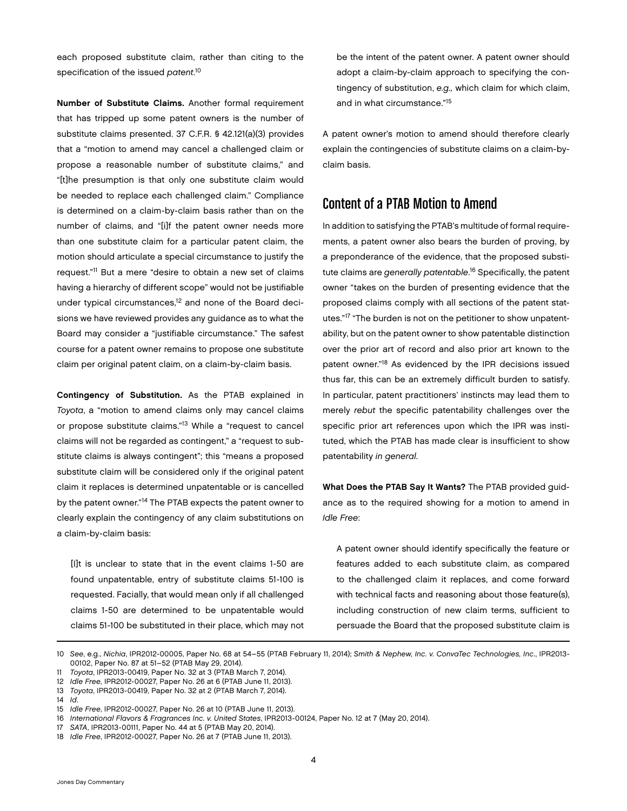each proposed substitute claim, rather than citing to the specification of the issued *patent*. 10

Number of Substitute Claims. Another formal requirement that has tripped up some patent owners is the number of substitute claims presented. 37 C.F.R. § 42.121(a)(3) provides that a "motion to amend may cancel a challenged claim or propose a reasonable number of substitute claims," and "[t]he presumption is that only one substitute claim would be needed to replace each challenged claim." Compliance is determined on a claim-by-claim basis rather than on the number of claims, and "[i]f the patent owner needs more than one substitute claim for a particular patent claim, the motion should articulate a special circumstance to justify the request."11 But a mere "desire to obtain a new set of claims having a hierarchy of different scope" would not be justifiable under typical circumstances,<sup>12</sup> and none of the Board decisions we have reviewed provides any guidance as to what the Board may consider a "justifiable circumstance." The safest course for a patent owner remains to propose one substitute claim per original patent claim, on a claim-by-claim basis.

Contingency of Substitution. As the PTAB explained in *Toyota*, a "motion to amend claims only may cancel claims or propose substitute claims."13 While a "request to cancel claims will not be regarded as contingent," a "request to substitute claims is always contingent"; this "means a proposed substitute claim will be considered only if the original patent claim it replaces is determined unpatentable or is cancelled by the patent owner."14 The PTAB expects the patent owner to clearly explain the contingency of any claim substitutions on a claim-by-claim basis:

[I]t is unclear to state that in the event claims 1-50 are found unpatentable, entry of substitute claims 51-100 is requested. Facially, that would mean only if all challenged claims 1-50 are determined to be unpatentable would claims 51-100 be substituted in their place, which may not be the intent of the patent owner. A patent owner should adopt a claim-by-claim approach to specifying the contingency of substitution, *e.g.,* which claim for which claim, and in what circumstance."15

A patent owner's motion to amend should therefore clearly explain the contingencies of substitute claims on a claim-byclaim basis.

# Content of a PTAB Motion to Amend

In addition to satisfying the PTAB's multitude of formal requirements, a patent owner also bears the burden of proving, by a preponderance of the evidence, that the proposed substitute claims are *generally patentable*. <sup>16</sup> Specifically, the patent owner "takes on the burden of presenting evidence that the proposed claims comply with all sections of the patent statutes."17 "The burden is not on the petitioner to show unpatentability, but on the patent owner to show patentable distinction over the prior art of record and also prior art known to the patent owner."<sup>18</sup> As evidenced by the IPR decisions issued thus far, this can be an extremely difficult burden to satisfy. In particular, patent practitioners' instincts may lead them to merely *rebut* the specific patentability challenges over the specific prior art references upon which the IPR was instituted, which the PTAB has made clear is insufficient to show patentability *in general*.

What Does the PTAB Say It Wants? The PTAB provided guidance as to the required showing for a motion to amend in *Idle Free*:

A patent owner should identify specifically the feature or features added to each substitute claim, as compared to the challenged claim it replaces, and come forward with technical facts and reasoning about those feature(s), including construction of new claim terms, sufficient to persuade the Board that the proposed substitute claim is

<sup>10</sup> *See*, e.g., *Nichia*, IPR2012-00005, Paper No. 68 at 54–55 (PTAB February 11, 2014); *Smith & Nephew, Inc. v. ConvaTec Technologies, Inc*., IPR2013- 00102, Paper No. 87 at 51–52 (PTAB May 29, 2014).

<sup>11</sup> *Toyota*, IPR2013-00419, Paper No. 32 at 3 (PTAB March 7, 2014).

<sup>12</sup> *Idle Free*, IPR2012-00027, Paper No. 26 at 6 (PTAB June 11, 2013).

<sup>13</sup> *Toyota*, IPR2013-00419, Paper No. 32 at 2 (PTAB March 7, 2014).

<sup>14</sup> *Id*.

<sup>15</sup> *Idle Free*, IPR2012-00027, Paper No. 26 at 10 (PTAB June 11, 2013).

<sup>16</sup> *International Flavors & Fragrances Inc. v. United States*, IPR2013-00124, Paper No. 12 at 7 (May 20, 2014).

<sup>17</sup> *SATA*, IPR2013-00111, Paper No. 44 at 5 (PTAB May 20, 2014).

<sup>18</sup> *Idle Free*, IPR2012-00027, Paper No. 26 at 7 (PTAB June 11, 2013).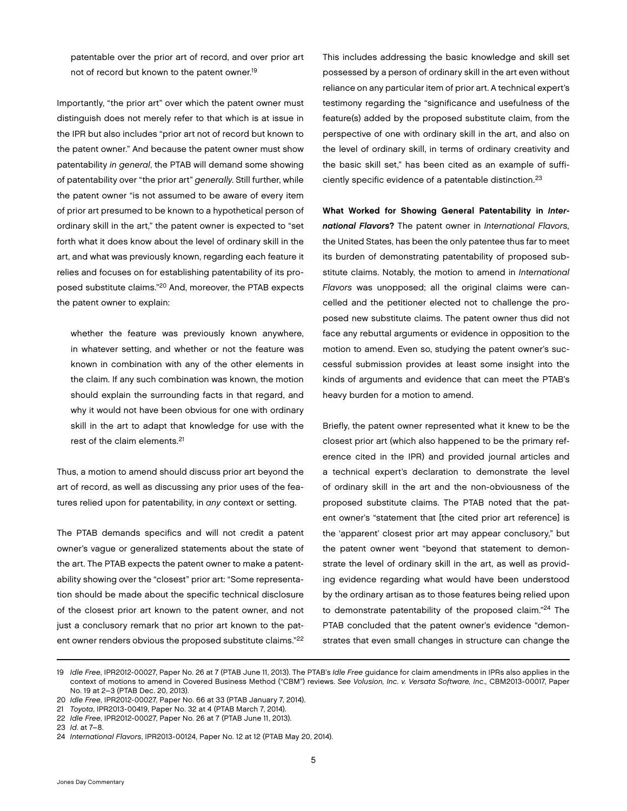patentable over the prior art of record, and over prior art not of record but known to the patent owner.<sup>19</sup>

Importantly, "the prior art" over which the patent owner must distinguish does not merely refer to that which is at issue in the IPR but also includes "prior art not of record but known to the patent owner." And because the patent owner must show patentability *in general*, the PTAB will demand some showing of patentability over "the prior art" *generally*. Still further, while the patent owner "is not assumed to be aware of every item of prior art presumed to be known to a hypothetical person of ordinary skill in the art," the patent owner is expected to "set forth what it does know about the level of ordinary skill in the art, and what was previously known, regarding each feature it relies and focuses on for establishing patentability of its proposed substitute claims."20 And, moreover, the PTAB expects the patent owner to explain:

whether the feature was previously known anywhere, in whatever setting, and whether or not the feature was known in combination with any of the other elements in the claim. If any such combination was known, the motion should explain the surrounding facts in that regard, and why it would not have been obvious for one with ordinary skill in the art to adapt that knowledge for use with the rest of the claim elements.<sup>21</sup>

Thus, a motion to amend should discuss prior art beyond the art of record, as well as discussing any prior uses of the features relied upon for patentability, in *any* context or setting.

The PTAB demands specifics and will not credit a patent owner's vague or generalized statements about the state of the art. The PTAB expects the patent owner to make a patentability showing over the "closest" prior art: "Some representation should be made about the specific technical disclosure of the closest prior art known to the patent owner, and not just a conclusory remark that no prior art known to the patent owner renders obvious the proposed substitute claims."<sup>22</sup>

This includes addressing the basic knowledge and skill set possessed by a person of ordinary skill in the art even without reliance on any particular item of prior art. A technical expert's testimony regarding the "significance and usefulness of the feature(s) added by the proposed substitute claim, from the perspective of one with ordinary skill in the art, and also on the level of ordinary skill, in terms of ordinary creativity and the basic skill set," has been cited as an example of sufficiently specific evidence of a patentable distinction.23

What Worked for Showing General Patentability in *International Flavors*? The patent owner in *International Flavors,*  the United States, has been the only patentee thus far to meet its burden of demonstrating patentability of proposed substitute claims. Notably, the motion to amend in *International Flavors* was unopposed; all the original claims were cancelled and the petitioner elected not to challenge the proposed new substitute claims. The patent owner thus did not face any rebuttal arguments or evidence in opposition to the motion to amend. Even so, studying the patent owner's successful submission provides at least some insight into the kinds of arguments and evidence that can meet the PTAB's heavy burden for a motion to amend.

Briefly, the patent owner represented what it knew to be the closest prior art (which also happened to be the primary reference cited in the IPR) and provided journal articles and a technical expert's declaration to demonstrate the level of ordinary skill in the art and the non-obviousness of the proposed substitute claims. The PTAB noted that the patent owner's "statement that [the cited prior art reference] is the 'apparent' closest prior art may appear conclusory," but the patent owner went "beyond that statement to demonstrate the level of ordinary skill in the art, as well as providing evidence regarding what would have been understood by the ordinary artisan as to those features being relied upon to demonstrate patentability of the proposed claim."<sup>24</sup> The PTAB concluded that the patent owner's evidence "demonstrates that even small changes in structure can change the

<sup>19</sup> *Idle Free*, IPR2012-00027, Paper No. 26 at 7 (PTAB June 11, 2013). The PTAB's *Idle Free* guidance for claim amendments in IPRs also applies in the context of motions to amend in Covered Business Method ("CBM") reviews. *See Volusion, Inc. v. Versata Software, Inc.,* CBM2013-00017, Paper No. 19 at 2–3 (PTAB Dec. 20, 2013).

<sup>20</sup> *Idle Free*, IPR2012-00027, Paper No. 66 at 33 (PTAB January 7, 2014).

<sup>21</sup> *Toyota*, IPR2013-00419, Paper No. 32 at 4 (PTAB March 7, 2014).

<sup>22</sup> *Idle Free*, IPR2012-00027, Paper No. 26 at 7 (PTAB June 11, 2013).

<sup>23</sup> *Id*. at 7–8.

<sup>24</sup> *International Flavors*, IPR2013-00124, Paper No. 12 at 12 (PTAB May 20, 2014).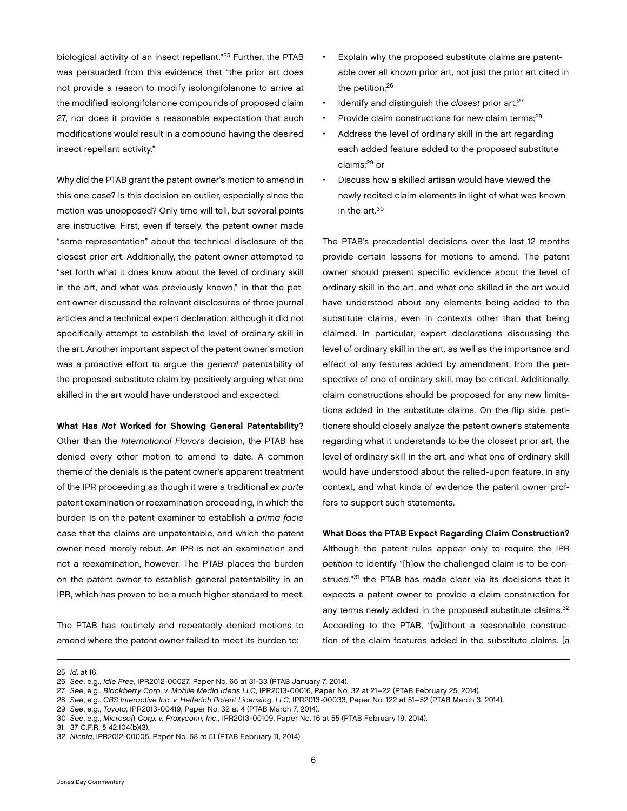biological activity of an insect repellant."25 Further, the PTAB was persuaded from this evidence that "the prior art does not provide a reason to modify isolongifolanone to arrive at the modified isolongifolanone compounds of proposed claim 27, nor does it provide a reasonable expectation that such modifications would result in a compound having the desired insect repellant activity."

Why did the PTAB grant the patent owner's motion to amend in this one case? Is this decision an outlier, especially since the motion was unopposed? Only time will tell, but several points are instructive. First, even if tersely, the patent owner made "some representation" about the technical disclosure of the closest prior art. Additionally, the patent owner attempted to "set forth what it does know about the level of ordinary skill in the art, and what was previously known," in that the patent owner discussed the relevant disclosures of three journal articles and a technical expert declaration, although it did not specifically attempt to establish the level of ordinary skill in the art. Another important aspect of the patent owner's motion was a proactive effort to argue the *general* patentability of the proposed substitute claim by positively arguing what one skilled in the art would have understood and expected.

What Has *Not* Worked for Showing General Patentability?

Other than the *International Flavors* decision, the PTAB has denied every other motion to amend to date. A common theme of the denials is the patent owner's apparent treatment of the IPR proceeding as though it were a traditional *ex parte* patent examination or reexamination proceeding, in which the burden is on the patent examiner to establish a *prima facie* case that the claims are unpatentable, and which the patent owner need merely rebut. An IPR is not an examination and not a reexamination, however. The PTAB places the burden on the patent owner to establish general patentability in an IPR, which has proven to be a much higher standard to meet.

The PTAB has routinely and repeatedly denied motions to amend where the patent owner failed to meet its burden to:

- Explain why the proposed substitute claims are patentable over all known prior art, not just the prior art cited in the petition;<sup>26</sup>
- Identify and distinguish the *closest* prior art;<sup>27</sup>
- Provide claim constructions for new claim terms;<sup>28</sup>
- Address the level of ordinary skill in the art regarding each added feature added to the proposed substitute claims;29 or
- Discuss how a skilled artisan would have viewed the newly recited claim elements in light of what was known in the  $art<sup>30</sup>$

The PTAB's precedential decisions over the last 12 months provide certain lessons for motions to amend. The patent owner should present specific evidence about the level of ordinary skill in the art, and what one skilled in the art would have understood about any elements being added to the substitute claims, even in contexts other than that being claimed. In particular, expert declarations discussing the level of ordinary skill in the art, as well as the importance and effect of any features added by amendment, from the perspective of one of ordinary skill, may be critical. Additionally, claim constructions should be proposed for any new limitations added in the substitute claims. On the flip side, petitioners should closely analyze the patent owner's statements regarding what it understands to be the closest prior art, the level of ordinary skill in the art, and what one of ordinary skill would have understood about the relied-upon feature, in any context, and what kinds of evidence the patent owner proffers to support such statements.

## What Does the PTAB Expect Regarding Claim Construction?

Although the patent rules appear only to require the IPR *petition* to identify "[h]ow the challenged claim is to be construed,"<sup>31</sup> the PTAB has made clear via its decisions that it expects a patent owner to provide a claim construction for any terms newly added in the proposed substitute claims.<sup>32</sup> According to the PTAB, "[w]ithout a reasonable construction of the claim features added in the substitute claims, [a

25 *Id*. at 16.

Jones Day Commentary

<sup>26</sup> *See*, e.g., *Idle Free*, IPR2012-00027, Paper No. 66 at 31-33 (PTAB January 7, 2014).

<sup>27</sup> *See*, e.g., *Blackberry Corp. v. Mobile Media Ideas LLC*, IPR2013-00016, Paper No. 32 at 21–22 (PTAB February 25, 2014).

<sup>28</sup> *See*, e.g., *CBS Interactive Inc. v. Helferich Patent Licensing, LLC*, IPR2013-00033, Paper No. 122 at 51–52 (PTAB March 3, 2014).

<sup>29</sup> *See*, e.g., *Toyota*, IPR2013-00419, Paper No. 32 at 4 (PTAB March 7, 2014).

<sup>30</sup> *See*, e.g., *Microsoft Corp. v. Proxyconn, Inc.,* IPR2013-00109, Paper No. 16 at 55 (PTAB February 19, 2014).

<sup>31</sup> 37 C.F.R. § 42.104(b)(3).

<sup>32</sup> *Nichia*, IPR2012-00005, Paper No. 68 at 51 (PTAB February 11, 2014).